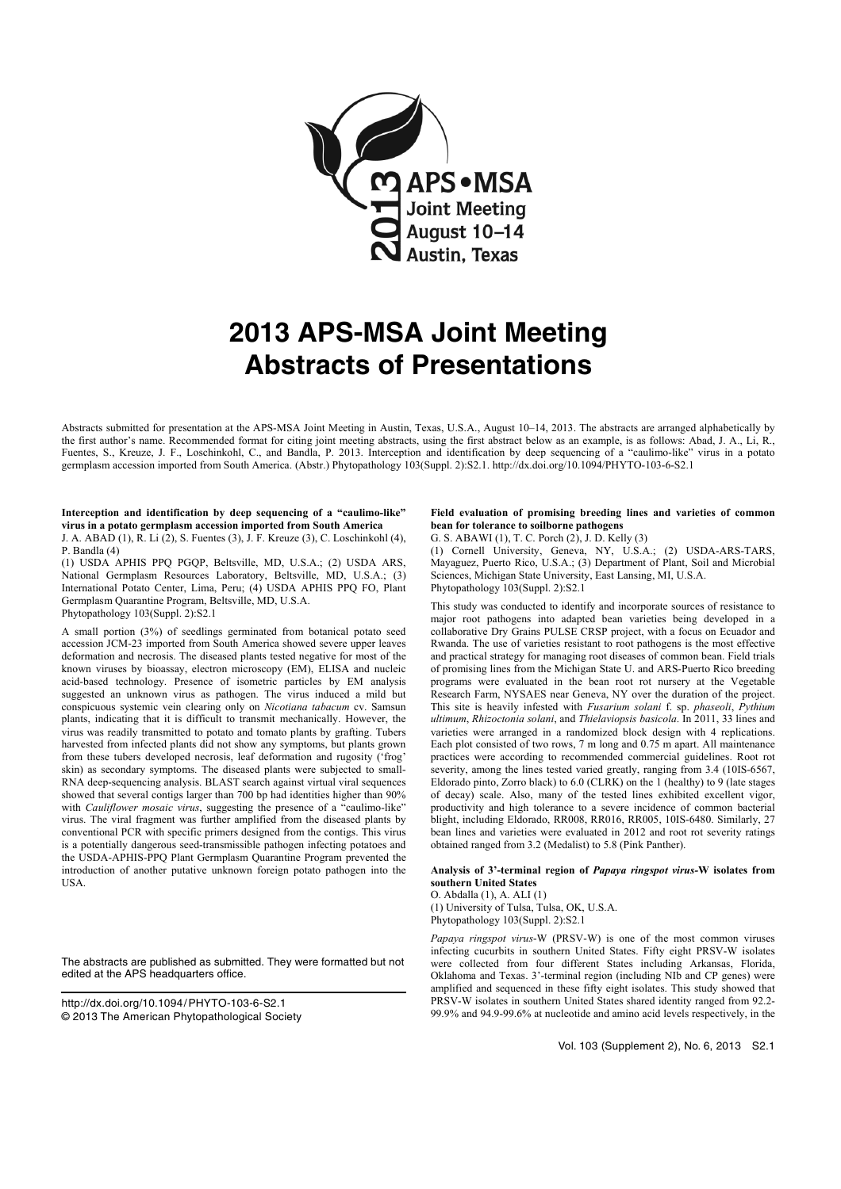

# 2013 APS-MSA Joint Meeting Abstracts of Presentations

Abstracts submitted for presentation at the APS-MSA Joint Meeting in Austin, Texas, U.S.A., August 10–14, 2013. The abstracts are arranged alphabetically by the first author's name. Recommended format for citing joint meeting abstracts, using the first abstract below as an example, is as follows: Abad, J. A., Li, R., Fuentes, S., Kreuze, J. F., Loschinkohl, C., and Bandla, P. 2013. Interception and identification by deep sequencing of a "caulimo-like" virus in a potato germplasm accession imported from South America. (Abstr.) Phytopathology 103(Suppl. 2):S2.1. http://dx.doi.org/10.1094/PHYTO-103-6-S2.1

#### Interception and identification by deep sequencing of a "caulimo-like" virus in a potato germplasm accession imported from South America J. A. ABAD (1), R. Li (2), S. Fuentes (3), J. F. Kreuze (3), C. Loschinkohl (4),

P. Bandla (4)

(1) USDA APHIS PPQ PGQP, Beltsville, MD, U.S.A.; (2) USDA ARS, National Germplasm Resources Laboratory, Beltsville, MD, U.S.A.; (3) International Potato Center, Lima, Peru; (4) USDA APHIS PPQ FO, Plant Germplasm Quarantine Program, Beltsville, MD, U.S.A. Phytopathology 103(Suppl. 2):S2.1

A small portion (3%) of seedlings germinated from botanical potato seed accession JCM-23 imported from South America showed severe upper leaves deformation and necrosis. The diseased plants tested negative for most of the known viruses by bioassay, electron microscopy (EM), ELISA and nucleic acid-based technology. Presence of isometric particles by EM analysis suggested an unknown virus as pathogen. The virus induced a mild but conspicuous systemic vein clearing only on Nicotiana tabacum cv. Samsun plants, indicating that it is difficult to transmit mechanically. However, the virus was readily transmitted to potato and tomato plants by grafting. Tubers harvested from infected plants did not show any symptoms, but plants grown from these tubers developed necrosis, leaf deformation and rugosity ('frog' skin) as secondary symptoms. The diseased plants were subjected to small-RNA deep-sequencing analysis. BLAST search against virtual viral sequences showed that several contigs larger than 700 bp had identities higher than 90% with Cauliflower mosaic virus, suggesting the presence of a "caulimo-like" virus. The viral fragment was further amplified from the diseased plants by conventional PCR with specific primers designed from the contigs. This virus is a potentially dangerous seed-transmissible pathogen infecting potatoes and the USDA-APHIS-PPQ Plant Germplasm Quarantine Program prevented the introduction of another putative unknown foreign potato pathogen into the USA.

The abstracts are published as submitted. They were formatted but not edited at the APS headquarters office.

http://dx.doi.org/10.1094/PHYTO-103-6-S2.1 © 2013 The American Phytopathological Society

## Field evaluation of promising breeding lines and varieties of common bean for tolerance to soilborne pathogens

G. S. ABAWI (1), T. C. Porch (2), J. D. Kelly (3) (1) Cornell University, Geneva, NY, U.S.A.; (2) USDA-ARS-TARS, Mayaguez, Puerto Rico, U.S.A.; (3) Department of Plant, Soil and Microbial Sciences, Michigan State University, East Lansing, MI, U.S.A. Phytopathology 103(Suppl. 2):S2.1

This study was conducted to identify and incorporate sources of resistance to major root pathogens into adapted bean varieties being developed in a collaborative Dry Grains PULSE CRSP project, with a focus on Ecuador and Rwanda. The use of varieties resistant to root pathogens is the most effective and practical strategy for managing root diseases of common bean. Field trials of promising lines from the Michigan State U. and ARS-Puerto Rico breeding programs were evaluated in the bean root rot nursery at the Vegetable Research Farm, NYSAES near Geneva, NY over the duration of the project. This site is heavily infested with Fusarium solani f. sp. phaseoli, Pythium ultimum, Rhizoctonia solani, and Thielaviopsis basicola. In 2011, 33 lines and varieties were arranged in a randomized block design with 4 replications. Each plot consisted of two rows, 7 m long and 0.75 m apart. All maintenance practices were according to recommended commercial guidelines. Root rot severity, among the lines tested varied greatly, ranging from 3.4 (10IS-6567, Eldorado pinto, Zorro black) to 6.0 (CLRK) on the 1 (healthy) to 9 (late stages of decay) scale. Also, many of the tested lines exhibited excellent vigor, productivity and high tolerance to a severe incidence of common bacterial blight, including Eldorado, RR008, RR016, RR005, 10IS-6480. Similarly, 27 bean lines and varieties were evaluated in 2012 and root rot severity ratings obtained ranged from 3.2 (Medalist) to 5.8 (Pink Panther).

## Analysis of 3'-terminal region of Papaya ringspot virus-W isolates from southern United States

O. Abdalla (1), A. ALI (1) (1) University of Tulsa, Tulsa, OK, U.S.A. Phytopathology 103(Suppl. 2):S2.1

Papaya ringspot virus-W (PRSV-W) is one of the most common viruses infecting cucurbits in southern United States. Fifty eight PRSV-W isolates were collected from four different States including Arkansas, Florida, Oklahoma and Texas. 3'-terminal region (including NIb and CP genes) were amplified and sequenced in these fifty eight isolates. This study showed that PRSV-W isolates in southern United States shared identity ranged from 92.2- 99.9% and 94.9-99.6% at nucleotide and amino acid levels respectively, in the

Vol. 103 (Supplement 2), No. 6, 2013 S2.1